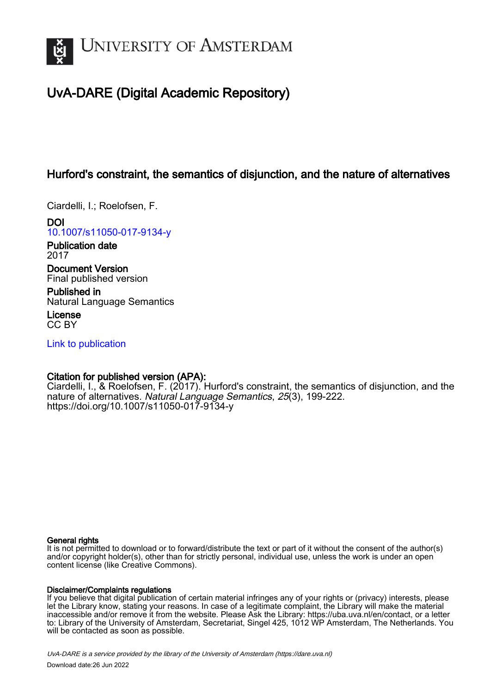

# UvA-DARE (Digital Academic Repository)

# Hurford's constraint, the semantics of disjunction, and the nature of alternatives

Ciardelli, I.; Roelofsen, F.

DOI [10.1007/s11050-017-9134-y](https://doi.org/10.1007/s11050-017-9134-y)

Publication date 2017

Document Version Final published version

Published in Natural Language Semantics

License CC BY

[Link to publication](https://dare.uva.nl/personal/pure/en/publications/hurfords-constraint-the-semantics-of-disjunction-and-the-nature-of-alternatives(9fb74bcc-40a5-4613-ac31-e0e486126519).html)

## Citation for published version (APA):

Ciardelli, I., & Roelofsen, F. (2017). Hurford's constraint, the semantics of disjunction, and the nature of alternatives. Natural Language Semantics, 25(3), 199-222. <https://doi.org/10.1007/s11050-017-9134-y>

## General rights

It is not permitted to download or to forward/distribute the text or part of it without the consent of the author(s) and/or copyright holder(s), other than for strictly personal, individual use, unless the work is under an open content license (like Creative Commons).

## Disclaimer/Complaints regulations

If you believe that digital publication of certain material infringes any of your rights or (privacy) interests, please let the Library know, stating your reasons. In case of a legitimate complaint, the Library will make the material inaccessible and/or remove it from the website. Please Ask the Library: https://uba.uva.nl/en/contact, or a letter to: Library of the University of Amsterdam, Secretariat, Singel 425, 1012 WP Amsterdam, The Netherlands. You will be contacted as soon as possible.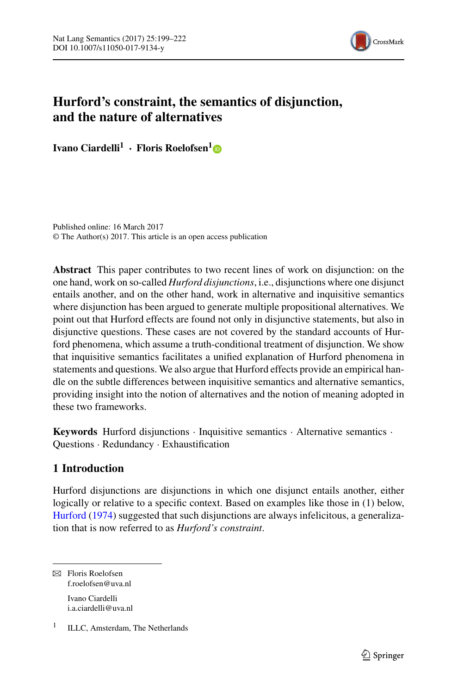

## **Hurford's constraint, the semantics of disjunction, and the nature of alternatives**

**Ivano Ciardelli1 · Floris Roelofsen[1](http://orcid.org/0000-0002-3224-5251)**

Published online: 16 March 2017 © The Author(s) 2017. This article is an open access publication

**Abstract** This paper contributes to two recent lines of work on disjunction: on the one hand, work on so-called *Hurford disjunctions*, i.e., disjunctions where one disjunct entails another, and on the other hand, work in alternative and inquisitive semantics where disjunction has been argued to generate multiple propositional alternatives. We point out that Hurford effects are found not only in disjunctive statements, but also in disjunctive questions. These cases are not covered by the standard accounts of Hurford phenomena, which assume a truth-conditional treatment of disjunction. We show that inquisitive semantics facilitates a unified explanation of Hurford phenomena in statements and questions. We also argue that Hurford effects provide an empirical handle on the subtle differences between inquisitive semantics and alternative semantics, providing insight into the notion of alternatives and the notion of meaning adopted in these two frameworks.

**Keywords** Hurford disjunctions · Inquisitive semantics · Alternative semantics · Questions · Redundancy · Exhaustification

## **1 Introduction**

<span id="page-1-0"></span>Hurford disjunctions are disjunctions in which one disjunct entails another, either logically or relative to a specific context. Based on examples like those in (1) below, [Hurford](#page-23-0) [\(1974](#page-23-0)) suggested that such disjunctions are always infelicitous, a generalization that is now referred to as *Hurford's constraint*.

 $\boxtimes$  Floris Roelofsen f.roelofsen@uva.nl Ivano Ciardelli i.a.ciardelli@uva.nl

<sup>&</sup>lt;sup>1</sup> ILLC, Amsterdam, The Netherlands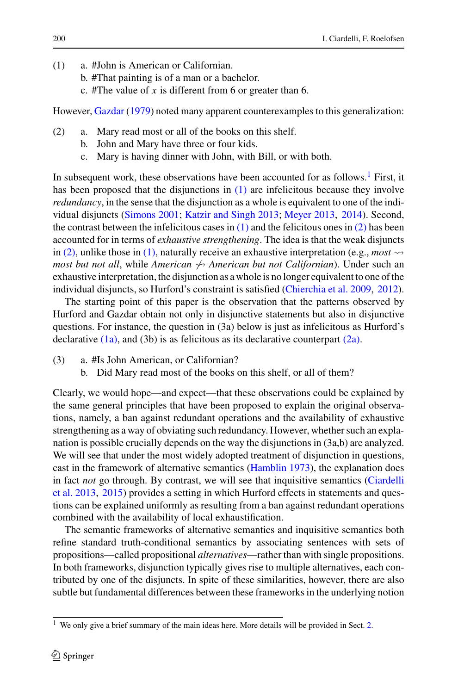- <span id="page-2-2"></span>(1) a. #John is American or Californian.
	- b. #That painting is of a man or a bachelor.
	- c. #The value of *x* is different from 6 or greater than 6.

<span id="page-2-3"></span><span id="page-2-1"></span>However, [Gazdar](#page-23-1) [\(1979](#page-23-1)) noted many apparent counterexamples to this generalization:

- (2) a. Mary read most or all of the books on this shelf.
	- b. John and Mary have three or four kids.
	- c. Mary is having dinner with John, with Bill, or with both.

In subsequent work, these observations have been accounted for as follows.<sup>[1](#page-2-0)</sup> First, it has been proposed that the disjunctions in [\(1\)](#page-1-0) are infelicitous because they involve *redundancy*, in the sense that the disjunction as a whole is equivalent to one of the individual disjuncts [\(Simons 2001](#page-24-0); [Katzir and Singh 2013;](#page-23-2) [Meyer 2013](#page-23-3), [2014\)](#page-23-4). Second, the contrast between the infelicitous cases in  $(1)$  and the felicitous ones in  $(2)$  has been accounted for in terms of *exhaustive strengthening*. The idea is that the weak disjuncts in [\(2\),](#page-2-1) unlike those in [\(1\),](#page-1-0) naturally receive an exhaustive interpretation (e.g., *most*  $\rightsquigarrow$ *most but not all*, while *American*  $\not\rightarrow$  *American but not Californian*). Under such an exhaustive interpretation, the disjunction as a whole is no longer equivalent to one of the individual disjuncts, so Hurford's constraint is satisfied [\(Chierchia et al. 2009](#page-23-5), [2012](#page-23-6)).

The starting point of this paper is the observation that the patterns observed by Hurford and Gazdar obtain not only in disjunctive statements but also in disjunctive questions. For instance, the question in (3a) below is just as infelicitous as Hurford's declarative  $(1a)$ , and  $(3b)$  is as felicitous as its declarative counterpart  $(2a)$ .

(3) a. #Is John American, or Californian? b. Did Mary read most of the books on this shelf, or all of them?

Clearly, we would hope—and expect—that these observations could be explained by the same general principles that have been proposed to explain the original observations, namely, a ban against redundant operations and the availability of exhaustive strengthening as a way of obviating such redundancy. However, whether such an explanation is possible crucially depends on the way the disjunctions in (3a,b) are analyzed. We will see that under the most widely adopted treatment of disjunction in questions, cast in the framework of alternative semantics [\(Hamblin 1973\)](#page-23-7), the explanation does in fact *not* [go](#page-23-8) [through.](#page-23-8) [By](#page-23-8) [contrast,](#page-23-8) [we](#page-23-8) [will](#page-23-8) [see](#page-23-8) [that](#page-23-8) [inquisitive](#page-23-8) [semantics](#page-23-8) [\(](#page-23-8)Ciardelli et al. [2013](#page-23-8), [2015](#page-23-9)) provides a setting in which Hurford effects in statements and questions can be explained uniformly as resulting from a ban against redundant operations combined with the availability of local exhaustification.

The semantic frameworks of alternative semantics and inquisitive semantics both refine standard truth-conditional semantics by associating sentences with sets of propositions—called propositional *alternatives*—rather than with single propositions. In both frameworks, disjunction typically gives rise to multiple alternatives, each contributed by one of the disjuncts. In spite of these similarities, however, there are also subtle but fundamental differences between these frameworks in the underlying notion

<span id="page-2-0"></span><sup>&</sup>lt;sup>1</sup> We only give a brief summary of the main ideas here. More details will be provided in Sect. [2.](#page-3-0)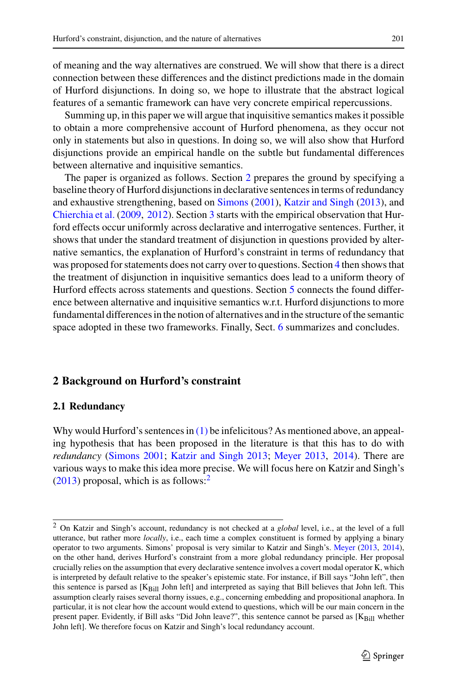of meaning and the way alternatives are construed. We will show that there is a direct connection between these differences and the distinct predictions made in the domain of Hurford disjunctions. In doing so, we hope to illustrate that the abstract logical features of a semantic framework can have very concrete empirical repercussions.

Summing up, in this paper we will argue that inquisitive semantics makes it possible to obtain a more comprehensive account of Hurford phenomena, as they occur not only in statements but also in questions. In doing so, we will also show that Hurford disjunctions provide an empirical handle on the subtle but fundamental differences between alternative and inquisitive semantics.

The paper is organized as follows. Section [2](#page-3-0) prepares the ground by specifying a baseline theory of Hurford disjunctions in declarative sentences in terms of redundancy and exhaustive strengthening, based on [Simons](#page-24-0) [\(2001](#page-24-0)), [Katzir and Singh](#page-23-2) [\(2013](#page-23-2)), and [Chierchia et al.](#page-23-5) [\(2009,](#page-23-5) [2012](#page-23-6)). Section [3](#page-7-0) starts with the empirical observation that Hurford effects occur uniformly across declarative and interrogative sentences. Further, it shows that under the standard treatment of disjunction in questions provided by alternative semantics, the explanation of Hurford's constraint in terms of redundancy that was proposed for statements does not carry over to questions. Section [4](#page-10-0) then shows that the treatment of disjunction in inquisitive semantics does lead to a uniform theory of Hurford effects across statements and questions. Section [5](#page-19-0) connects the found difference between alternative and inquisitive semantics w.r.t. Hurford disjunctions to more fundamental differences in the notion of alternatives and in the structure of the semantic space adopted in these two frameworks. Finally, Sect. [6](#page-22-0) summarizes and concludes.

### <span id="page-3-0"></span>**2 Background on Hurford's constraint**

#### **2.1 Redundancy**

Why would Hurford's sentences in [\(1\)](#page-1-0) be infelicitous? As mentioned above, an appealing hypothesis that has been proposed in the literature is that this has to do with *redundancy* [\(Simons 2001;](#page-24-0) [Katzir and Singh 2013;](#page-23-2) [Meyer 2013,](#page-23-3) [2014\)](#page-23-4). There are various ways to make this idea more precise. We will focus here on Katzir and Singh's  $(2013)$  proposal, which is as follows:<sup>[2](#page-3-1)</sup>

<span id="page-3-1"></span><sup>2</sup> On Katzir and Singh's account, redundancy is not checked at a *global* level, i.e., at the level of a full utterance, but rather more *locally*, i.e., each time a complex constituent is formed by applying a binary operator to two arguments. Simons' proposal is very similar to Katzir and Singh's. [Meyer](#page-23-3) [\(2013](#page-23-3), [2014](#page-23-4)), on the other hand, derives Hurford's constraint from a more global redundancy principle. Her proposal crucially relies on the assumption that every declarative sentence involves a covert modal operator K, which is interpreted by default relative to the speaker's epistemic state. For instance, if Bill says "John left", then this sentence is parsed as [K<sub>Bill</sub> John left] and interpreted as saying that Bill believes that John left. This assumption clearly raises several thorny issues, e.g., concerning embedding and propositional anaphora. In particular, it is not clear how the account would extend to questions, which will be our main concern in the present paper. Evidently, if Bill asks "Did John leave?", this sentence cannot be parsed as  $[K_{\text{Bill}}]$  whether John left]. We therefore focus on Katzir and Singh's local redundancy account.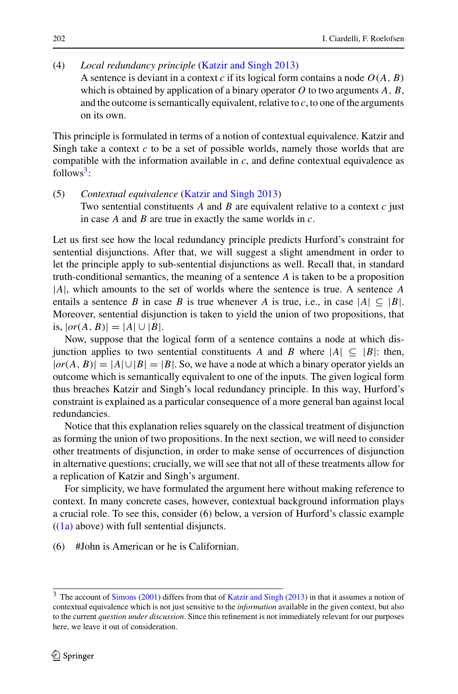## (4) *Local redundancy principle* [\(Katzir and Singh 2013](#page-23-2))

A sentence is deviant in a context *c* if its logical form contains a node *O*(*A*, *B*) which is obtained by application of a binary operator  $O$  to two arguments  $A, B$ , and the outcome is semantically equivalent, relative to *c*, to one of the arguments on its own.

This principle is formulated in terms of a notion of contextual equivalence. Katzir and Singh take a context *c* to be a set of possible worlds, namely those worlds that are compatible with the information available in  $c$ , and define contextual equivalence as  $follows<sup>3</sup>$ 

(5) *Contextual equivalence* [\(Katzir and Singh 2013\)](#page-23-2) Two sentential constituents *A* and *B* are equivalent relative to a context *c* just in case *A* and *B* are true in exactly the same worlds in *c*.

Let us first see how the local redundancy principle predicts Hurford's constraint for sentential disjunctions. After that, we will suggest a slight amendment in order to let the principle apply to sub-sentential disjunctions as well. Recall that, in standard truth-conditional semantics, the meaning of a sentence *A* is taken to be a proposition |*A*|, which amounts to the set of worlds where the sentence is true. A sentence *A* entails a sentence *B* in case *B* is true whenever *A* is true, i.e., in case  $|A| \subseteq |B|$ . Moreover, sentential disjunction is taken to yield the union of two propositions, that is,  $|or(A, B)| = |A| ∪ |B|$ .

Now, suppose that the logical form of a sentence contains a node at which disjunction applies to two sentential constituents *A* and *B* where  $|A| \subseteq |B|$ : then,  $|or(A, B)| = |A| \cup |B| = |B|$ . So, we have a node at which a binary operator yields an outcome which is semantically equivalent to one of the inputs. The given logical form thus breaches Katzir and Singh's local redundancy principle. In this way, Hurford's constraint is explained as a particular consequence of a more general ban against local redundancies.

Notice that this explanation relies squarely on the classical treatment of disjunction as forming the union of two propositions. In the next section, we will need to consider other treatments of disjunction, in order to make sense of occurrences of disjunction in alternative questions; crucially, we will see that not all of these treatments allow for a replication of Katzir and Singh's argument.

For simplicity, we have formulated the argument here without making reference to context. In many concrete cases, however, contextual background information plays a crucial role. To see this, consider (6) below, a version of Hurford's classic example  $((1a)$  above) with full sentential disjuncts.

(6) #John is American or he is Californian.

<span id="page-4-0"></span><sup>3</sup> The account of [Simons](#page-24-0) [\(2001\)](#page-24-0) differs from that of [Katzir and Singh](#page-23-2) [\(2013\)](#page-23-2) in that it assumes a notion of contextual equivalence which is not just sensitive to the *information* available in the given context, but also to the current *question under discussion*. Since this refinement is not immediately relevant for our purposes here, we leave it out of consideration.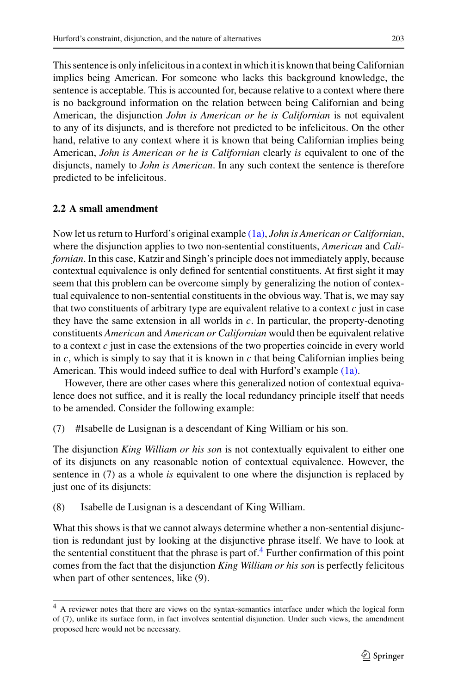This sentence is only infelicitous in a context in which it is known that being Californian implies being American. For someone who lacks this background knowledge, the sentence is acceptable. This is accounted for, because relative to a context where there is no background information on the relation between being Californian and being American, the disjunction *John is American or he is Californian* is not equivalent to any of its disjuncts, and is therefore not predicted to be infelicitous. On the other hand, relative to any context where it is known that being Californian implies being American, *John is American or he is Californian* clearly *is* equivalent to one of the disjuncts, namely to *John is American*. In any such context the sentence is therefore predicted to be infelicitous.

## **2.2 A small amendment**

Now let us return to Hurford's original example [\(1a\),](#page-2-2) *John is American or Californian*, where the disjunction applies to two non-sentential constituents, *American* and *Californian*. In this case, Katzir and Singh's principle does not immediately apply, because contextual equivalence is only defined for sentential constituents. At first sight it may seem that this problem can be overcome simply by generalizing the notion of contextual equivalence to non-sentential constituents in the obvious way. That is, we may say that two constituents of arbitrary type are equivalent relative to a context *c* just in case they have the same extension in all worlds in *c*. In particular, the property-denoting constituents *American* and *American or Californian* would then be equivalent relative to a context *c* just in case the extensions of the two properties coincide in every world in  $c$ , which is simply to say that it is known in  $c$  that being Californian implies being American. This would indeed suffice to deal with Hurford's example [\(1a\).](#page-2-2)

However, there are other cases where this generalized notion of contextual equivalence does not suffice, and it is really the local redundancy principle itself that needs to be amended. Consider the following example:

(7) #Isabelle de Lusignan is a descendant of King William or his son.

The disjunction *King William or his son* is not contextually equivalent to either one of its disjuncts on any reasonable notion of contextual equivalence. However, the sentence in (7) as a whole *is* equivalent to one where the disjunction is replaced by just one of its disjuncts:

(8) Isabelle de Lusignan is a descendant of King William.

What this shows is that we cannot always determine whether a non-sentential disjunction is redundant just by looking at the disjunctive phrase itself. We have to look at the sentential constituent that the phrase is part of. $4$  Further confirmation of this point comes from the fact that the disjunction *King William or his son* is perfectly felicitous when part of other sentences, like (9).

<span id="page-5-0"></span><sup>&</sup>lt;sup>4</sup> A reviewer notes that there are views on the syntax-semantics interface under which the logical form of (7), unlike its surface form, in fact involves sentential disjunction. Under such views, the amendment proposed here would not be necessary.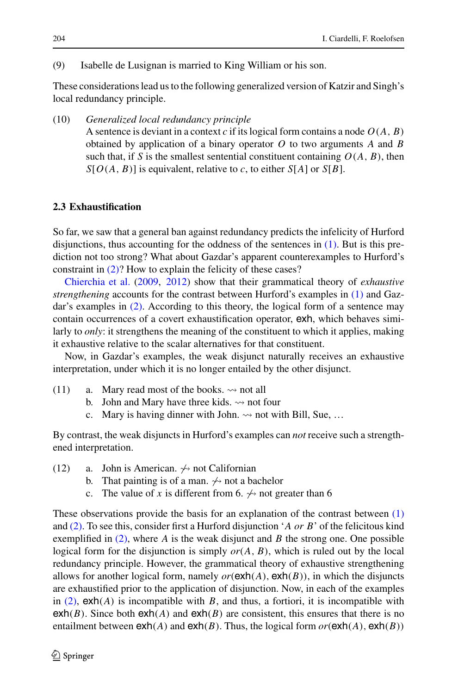(9) Isabelle de Lusignan is married to King William or his son.

These considerations lead us to the following generalized version of Katzir and Singh's local redundancy principle.

(10) *Generalized local redundancy principle* A sentence is deviant in a context *c* if its logical form contains a node *O*(*A*, *B*) obtained by application of a binary operator *O* to two arguments *A* and *B* such that, if *S* is the smallest sentential constituent containing  $O(A, B)$ , then  $S[O(A, B)]$  is equivalent, relative to *c*, to either  $S[A]$  or  $S[B]$ .

#### **2.3 Exhaustification**

So far, we saw that a general ban against redundancy predicts the infelicity of Hurford disjunctions, thus accounting for the oddness of the sentences in [\(1\).](#page-1-0) But is this prediction not too strong? What about Gazdar's apparent counterexamples to Hurford's [constraint](#page-23-5) [in](#page-23-5) [\(2\)?](#page-2-1) How to explain the felicity of these cases?

Chierchia et al. [\(2009](#page-23-5), [2012](#page-23-6)) show that their grammatical theory of *exhaustive strengthening* accounts for the contrast between Hurford's examples in [\(1\)](#page-1-0) and Gazdar's examples in [\(2\).](#page-2-1) According to this theory, the logical form of a sentence may contain occurrences of a covert exhaustification operator, exh, which behaves similarly to *only*: it strengthens the meaning of the constituent to which it applies, making it exhaustive relative to the scalar alternatives for that constituent.

Now, in Gazdar's examples, the weak disjunct naturally receives an exhaustive interpretation, under which it is no longer entailed by the other disjunct.

- (11) a. Mary read most of the books.  $\rightsquigarrow$  not all
	- b. John and Mary have three kids.  $\rightsquigarrow$  not four
	- c. Mary is having dinner with John.  $\rightsquigarrow$  not with Bill, Sue, ...

By contrast, the weak disjuncts in Hurford's examples can *not* receive such a strengthened interpretation.

- (12) a. John is American.  $\not\rightarrow$  not Californian
	- b. That painting is of a man.  $\not\rightarrow$  not a bachelor
	- c. The value of *x* is different from 6.  $\not\rightarrow$  not greater than 6

These observations provide the basis for an explanation of the contrast between [\(1\)](#page-1-0) and [\(2\).](#page-2-1) To see this, consider first a Hurford disjunction '*A or B*' of the felicitous kind exemplified in [\(2\),](#page-2-1) where *A* is the weak disjunct and *B* the strong one. One possible logical form for the disjunction is simply  $or(A, B)$ , which is ruled out by the local redundancy principle. However, the grammatical theory of exhaustive strengthening allows for another logical form, namely  $or(\text{exh}(A), \text{exh}(B))$ , in which the disjuncts are exhaustified prior to the application of disjunction. Now, in each of the examples in  $(2)$ ,  $exh(A)$  is incompatible with *B*, and thus, a fortiori, it is incompatible with  $exh(B)$ . Since both  $exh(A)$  and  $exh(B)$  are consistent, this ensures that there is no entailment between  $ext{exh}(A)$  and  $ext{exh}(B)$ . Thus, the logical form  $or(\text{exh}(A), \text{exh}(B))$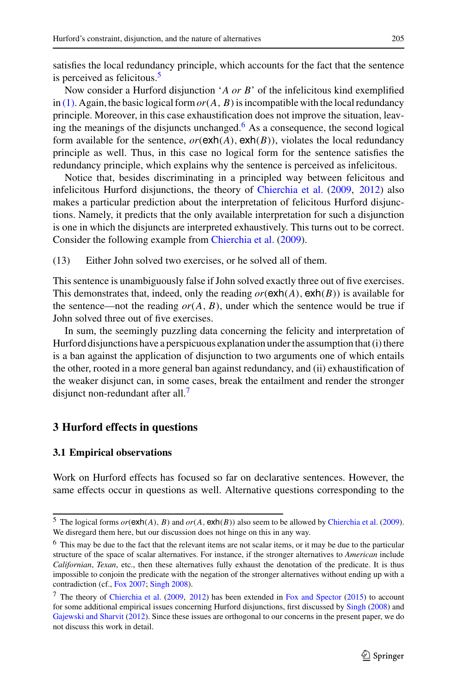satisfies the local redundancy principle, which accounts for the fact that the sentence is perceived as felicitous.<sup>[5](#page-7-1)</sup>

Now consider a Hurford disjunction '*A or B*' of the infelicitous kind exemplified in [\(1\).](#page-1-0) Again, the basic logical form  $or(A, B)$  is incompatible with the local redundancy principle. Moreover, in this case exhaustification does not improve the situation, leav-ing the meanings of the disjuncts unchanged.<sup>[6](#page-7-2)</sup> As a consequence, the second logical form available for the sentence,  $or(\exp(A), \exp(B))$ , violates the local redundancy principle as well. Thus, in this case no logical form for the sentence satisfies the redundancy principle, which explains why the sentence is perceived as infelicitous.

Notice that, besides discriminating in a principled way between felicitous and infelicitous Hurford disjunctions, the theory of [Chierchia et al.](#page-23-5) [\(2009](#page-23-5), [2012\)](#page-23-6) also makes a particular prediction about the interpretation of felicitous Hurford disjunctions. Namely, it predicts that the only available interpretation for such a disjunction is one in which the disjuncts are interpreted exhaustively. This turns out to be correct. Consider the following example from [Chierchia et al.](#page-23-5) [\(2009](#page-23-5)).

(13) Either John solved two exercises, or he solved all of them.

This sentence is unambiguously false if John solved exactly three out of five exercises. This demonstrates that, indeed, only the reading  $or(\exp(A), \exp(B))$  is available for the sentence—not the reading  $or(A, B)$ , under which the sentence would be true if John solved three out of five exercises.

In sum, the seemingly puzzling data concerning the felicity and interpretation of Hurford disjunctions have a perspicuous explanation under the assumption that (i) there is a ban against the application of disjunction to two arguments one of which entails the other, rooted in a more general ban against redundancy, and (ii) exhaustification of the weaker disjunct can, in some cases, break the entailment and render the stronger disjunct non-redundant after all.<sup>[7](#page-7-3)</sup>

## <span id="page-7-0"></span>**3 Hurford effects in questions**

#### **3.1 Empirical observations**

Work on Hurford effects has focused so far on declarative sentences. However, the same effects occur in questions as well. Alternative questions corresponding to the

<span id="page-7-1"></span><sup>&</sup>lt;sup>5</sup> The logical forms  $or(\text{exh}(A), B)$  and  $or(A, \text{exh}(B))$  also seem to be allowed by [Chierchia et al.](#page-23-5) [\(2009](#page-23-5)). We disregard them here, but our discussion does not hinge on this in any way.

<span id="page-7-2"></span><sup>&</sup>lt;sup>6</sup> This may be due to the fact that the relevant items are not scalar items, or it may be due to the particular structure of the space of scalar alternatives. For instance, if the stronger alternatives to *American* include *Californian*, *Texan*, etc., then these alternatives fully exhaust the denotation of the predicate. It is thus impossible to conjoin the predicate with the negation of the stronger alternatives without ending up with a contradiction (cf., [Fox 2007;](#page-23-10) [Singh 2008\)](#page-24-1).

<span id="page-7-3"></span><sup>7</sup> The theory of [Chierchia et al.](#page-23-5) [\(2009](#page-23-5), [2012\)](#page-23-6) has been extended in [Fox and Spector](#page-23-11) [\(2015](#page-23-11)) to account for some additional empirical issues concerning Hurford disjunctions, first discussed by [Singh](#page-24-1) [\(2008\)](#page-24-1) and [Gajewski and Sharvit](#page-23-12) [\(2012](#page-23-12)). Since these issues are orthogonal to our concerns in the present paper, we do not discuss this work in detail.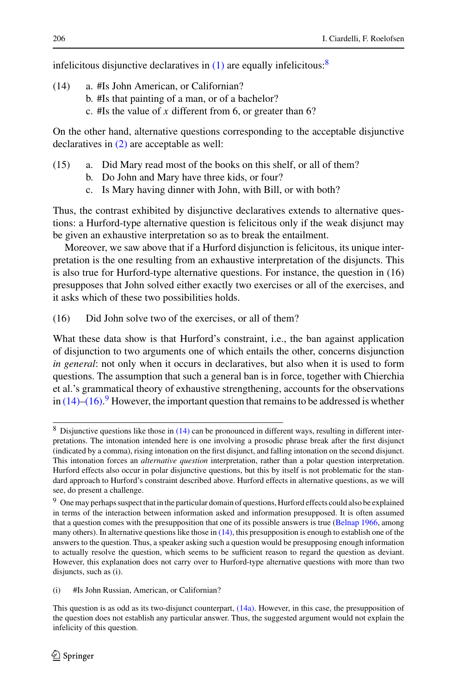<span id="page-8-4"></span><span id="page-8-1"></span>infelicitous disjunctive declaratives in  $(1)$  are equally infelicitous:<sup>[8](#page-8-0)</sup>

(14) a. #Is John American, or Californian? b. #Is that painting of a man, or of a bachelor? c. #Is the value of *x* different from 6, or greater than 6?

On the other hand, alternative questions corresponding to the acceptable disjunctive declaratives in [\(2\)](#page-2-1) are acceptable as well:

- (15) a. Did Mary read most of the books on this shelf, or all of them?
	- b. Do John and Mary have three kids, or four?
	- c. Is Mary having dinner with John, with Bill, or with both?

Thus, the contrast exhibited by disjunctive declaratives extends to alternative questions: a Hurford-type alternative question is felicitous only if the weak disjunct may be given an exhaustive interpretation so as to break the entailment.

Moreover, we saw above that if a Hurford disjunction is felicitous, its unique interpretation is the one resulting from an exhaustive interpretation of the disjuncts. This is also true for Hurford-type alternative questions. For instance, the question in (16) presupposes that John solved either exactly two exercises or all of the exercises, and it asks which of these two possibilities holds.

## <span id="page-8-2"></span>(16) Did John solve two of the exercises, or all of them?

What these data show is that Hurford's constraint, i.e., the ban against application of disjunction to two arguments one of which entails the other, concerns disjunction *in general*: not only when it occurs in declaratives, but also when it is used to form questions. The assumption that such a general ban is in force, together with Chierchia et al.'s grammatical theory of exhaustive strengthening, accounts for the observations in  $(14)$ – $(16)$ . <sup>[9](#page-8-3)</sup> However, the important question that remains to be addressed is whether

(i) #Is John Russian, American, or Californian?

<span id="page-8-0"></span><sup>8</sup> Disjunctive questions like those in [\(14\)](#page-8-1) can be pronounced in different ways, resulting in different interpretations. The intonation intended here is one involving a prosodic phrase break after the first disjunct (indicated by a comma), rising intonation on the first disjunct, and falling intonation on the second disjunct. This intonation forces an *alternative question* interpretation, rather than a polar question interpretation. Hurford effects also occur in polar disjunctive questions, but this by itself is not problematic for the standard approach to Hurford's constraint described above. Hurford effects in alternative questions, as we will see, do present a challenge.

<span id="page-8-3"></span><sup>&</sup>lt;sup>9</sup> One may perhaps suspect that in the particular domain of questions, Hurford effects could also be explained in terms of the interaction between information asked and information presupposed. It is often assumed that a question comes with the presupposition that one of its possible answers is true [\(Belnap 1966,](#page-23-13) among many others). In alternative questions like those in [\(14\),](#page-8-1) this presupposition is enough to establish one of the answers to the question. Thus, a speaker asking such a question would be presupposing enough information to actually resolve the question, which seems to be sufficient reason to regard the question as deviant. However, this explanation does not carry over to Hurford-type alternative questions with more than two disjuncts, such as (i).

This question is as odd as its two-disjunct counterpart,  $(14a)$ . However, in this case, the presupposition of the question does not establish any particular answer. Thus, the suggested argument would not explain the infelicity of this question.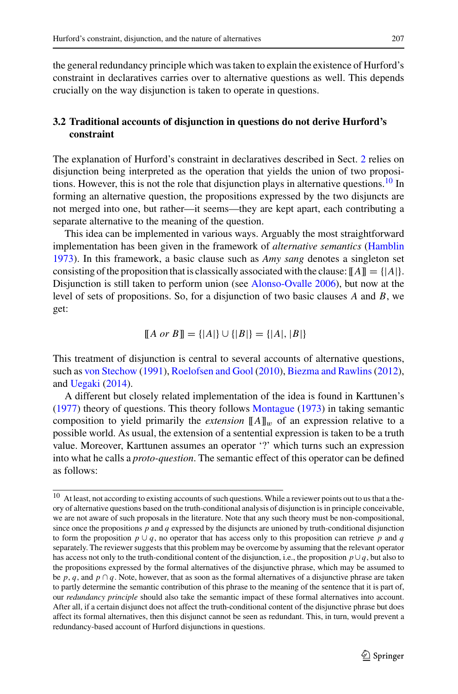the general redundancy principle which was taken to explain the existence of Hurford's constraint in declaratives carries over to alternative questions as well. This depends crucially on the way disjunction is taken to operate in questions.

## **3.2 Traditional accounts of disjunction in questions do not derive Hurford's constraint**

The explanation of Hurford's constraint in declaratives described in Sect. [2](#page-3-0) relies on disjunction being interpreted as the operation that yields the union of two propositions. However, this is not the role that disjunction plays in alternative questions.<sup>10</sup> In forming an alternative question, the propositions expressed by the two disjuncts are not merged into one, but rather—it seems—they are kept apart, each contributing a separate alternative to the meaning of the question.

This idea can be implemented in various ways. Arguably the most straightforward implementation has been given in the framework of *alternative semantics* [\(Hamblin](#page-23-7) [1973\)](#page-23-7). In this framework, a basic clause such as *Amy sang* denotes a singleton set consisting of the proposition that is classically associated with the clause:  $[[A]] = \{ |A| \}.$ Disjunction is still taken to perform union (see [Alonso-Ovalle 2006](#page-23-14)), but now at the level of sets of propositions. So, for a disjunction of two basic clauses *A* and *B*, we get:

$$
[[A \text{ or } B]] = \{|A|\} \cup \{|B|\} = \{|A|, |B|\}
$$

This treatment of disjunction is central to several accounts of alternative questions, such as [von Stechow](#page-24-2) [\(1991\)](#page-24-2), [Roelofsen and Gool](#page-24-3) [\(2010](#page-24-3)), [Biezma and Rawlins\(2012](#page-23-15)), and [Uegaki](#page-24-4) [\(2014\)](#page-24-4).

A different but closely related implementation of the idea is found in Karttunen's [\(1977\)](#page-23-16) theory of questions. This theory follows [Montague](#page-23-17) [\(1973\)](#page-23-17) in taking semantic composition to yield primarily the *extension*  $\llbracket A \rrbracket_w$  of an expression relative to a possible world. As usual, the extension of a sentential expression is taken to be a truth value. Moreover, Karttunen assumes an operator '?' which turns such an expression into what he calls a *proto-question*. The semantic effect of this operator can be defined as follows:

<span id="page-9-0"></span><sup>&</sup>lt;sup>10</sup> At least, not according to existing accounts of such questions. While a reviewer points out to us that a theory of alternative questions based on the truth-conditional analysis of disjunction is in principle conceivable, we are not aware of such proposals in the literature. Note that any such theory must be non-compositional, since once the propositions *p* and *q* expressed by the disjuncts are unioned by truth-conditional disjunction to form the proposition  $p \cup q$ , no operator that has access only to this proposition can retrieve p and q separately. The reviewer suggests that this problem may be overcome by assuming that the relevant operator has access not only to the truth-conditional content of the disjunction, i.e., the proposition  $p \cup q$ , but also to the propositions expressed by the formal alternatives of the disjunctive phrase, which may be assumed to be *p*, *q*, and *p* ∩ *q*. Note, however, that as soon as the formal alternatives of a disjunctive phrase are taken to partly determine the semantic contribution of this phrase to the meaning of the sentence that it is part of, our *redundancy principle* should also take the semantic impact of these formal alternatives into account. After all, if a certain disjunct does not affect the truth-conditional content of the disjunctive phrase but does affect its formal alternatives, then this disjunct cannot be seen as redundant. This, in turn, would prevent a redundancy-based account of Hurford disjunctions in questions.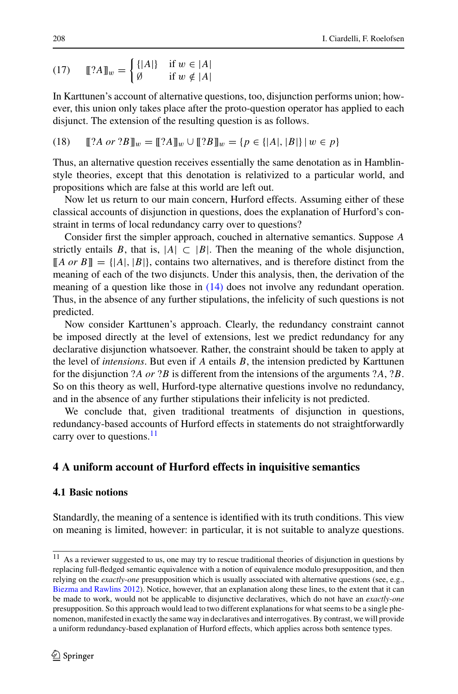$$
(17) \qquad [ \n[ ?A ]\n]_w = \begin{cases} \n[ |A| ] & \text{if } w \in |A| \\ \n\emptyset & \text{if } w \notin |A| \n\end{cases}
$$

In Karttunen's account of alternative questions, too, disjunction performs union; however, this union only takes place after the proto-question operator has applied to each disjunct. The extension of the resulting question is as follows.

$$
(18) \quad [\![?A \text{ or } ?B]\!]_w = [\![?A]\!]_w \cup [\![?B]\!]_w = \{p \in \{|A|, |B|\} \mid w \in p\}
$$

Thus, an alternative question receives essentially the same denotation as in Hamblinstyle theories, except that this denotation is relativized to a particular world, and propositions which are false at this world are left out.

Now let us return to our main concern, Hurford effects. Assuming either of these classical accounts of disjunction in questions, does the explanation of Hurford's constraint in terms of local redundancy carry over to questions?

Consider first the simpler approach, couched in alternative semantics. Suppose *A* strictly entails *B*, that is,  $|A| \subset |B|$ . Then the meaning of the whole disjunction,  $[[A \text{ or } B]] = { |A|, |B| }$ , contains two alternatives, and is therefore distinct from the meaning of each of the two disjuncts. Under this analysis, then, the derivation of the meaning of a question like those in [\(14\)](#page-8-1) does not involve any redundant operation. Thus, in the absence of any further stipulations, the infelicity of such questions is not predicted.

Now consider Karttunen's approach. Clearly, the redundancy constraint cannot be imposed directly at the level of extensions, lest we predict redundancy for any declarative disjunction whatsoever. Rather, the constraint should be taken to apply at the level of *intensions*. But even if *A* entails *B*, the intension predicted by Karttunen for the disjunction ?*A or* ?*B* is different from the intensions of the arguments ?*A*, ?*B*. So on this theory as well, Hurford-type alternative questions involve no redundancy, and in the absence of any further stipulations their infelicity is not predicted.

We conclude that, given traditional treatments of disjunction in questions, redundancy-based accounts of Hurford effects in statements do not straightforwardly carry over to questions. $^{11}$  $^{11}$  $^{11}$ 

## <span id="page-10-0"></span>**4 A uniform account of Hurford effects in inquisitive semantics**

### **4.1 Basic notions**

Standardly, the meaning of a sentence is identified with its truth conditions. This view on meaning is limited, however: in particular, it is not suitable to analyze questions.

<span id="page-10-1"></span> $11$  As a reviewer suggested to us, one may try to rescue traditional theories of disjunction in questions by replacing full-fledged semantic equivalence with a notion of equivalence modulo presupposition, and then relying on the *exactly-one* presupposition which is usually associated with alternative questions (see, e.g., [Biezma and Rawlins 2012](#page-23-15)). Notice, however, that an explanation along these lines, to the extent that it can be made to work, would not be applicable to disjunctive declaratives, which do not have an *exactly-one* presupposition. So this approach would lead to two different explanations for what seems to be a single phenomenon, manifested in exactly the same way in declaratives and interrogatives. By contrast, we will provide a uniform redundancy-based explanation of Hurford effects, which applies across both sentence types.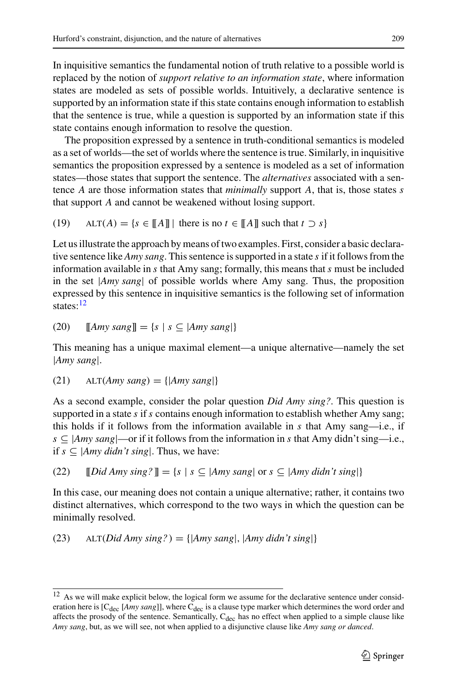In inquisitive semantics the fundamental notion of truth relative to a possible world is replaced by the notion of *support relative to an information state*, where information states are modeled as sets of possible worlds. Intuitively, a declarative sentence is supported by an information state if this state contains enough information to establish that the sentence is true, while a question is supported by an information state if this state contains enough information to resolve the question.

The proposition expressed by a sentence in truth-conditional semantics is modeled as a set of worlds—the set of worlds where the sentence is true. Similarly, in inquisitive semantics the proposition expressed by a sentence is modeled as a set of information states—those states that support the sentence. The *alternatives* associated with a sentence *A* are those information states that *minimally* support *A*, that is, those states *s* that support *A* and cannot be weakened without losing support.

(19)  $\Delta LT(A) = \{s \in \llbracket A \rrbracket \mid \text{ there is no } t \in \llbracket A \rrbracket \text{ such that } t \supset s\}$ 

Let us illustrate the approach by means of two examples. First, consider a basic declarative sentence like *Amy sang*. This sentence is supported in a state *s* if it follows from the information available in *s* that Amy sang; formally, this means that *s* must be included in the set |*Amy sang*| of possible worlds where Amy sang. Thus, the proposition expressed by this sentence in inquisitive semantics is the following set of information states $\cdot$ <sup>12</sup>

(20)  $[\text{A} \text{m} \text{y} \text{ s} \text{a} \text{n} \text{g}] = \{s \mid s \subseteq |\text{A} \text{m} \text{y} \text{ s} \text{a} \text{n} \text{g}|\}$ 

This meaning has a unique maximal element—a unique alternative—namely the set |*Amy sang*|.

$$
(21) \quad \text{ALT}(Amy\, sang) = \{|Amy\, sang|\}
$$

As a second example, consider the polar question *Did Amy sing?*. This question is supported in a state *s* if *s* contains enough information to establish whether Amy sang; this holds if it follows from the information available in *s* that Amy sang—i.e., if  $s \subseteq |Amy \, sang|$ —or if it follows from the information in *s* that Amy didn't sing—i.e., if  $s \subseteq |Amy \text{ didn't sing}|$ . Thus, we have:

(22) 
$$
[Did \, Amy \, sing? \, ]\, = \{s \mid s \subseteq |Amy \, sang| \, or \, s \subseteq |Amy \, didn't \, sing|\}
$$

In this case, our meaning does not contain a unique alternative; rather, it contains two distinct alternatives, which correspond to the two ways in which the question can be minimally resolved.

(23)  $\Delta L T(Did \, Amy \, sing?) = \{ | Amy \, sang |, | Amy \, didn't \, sing | \}$ 

<span id="page-11-0"></span> $12$  As we will make explicit below, the logical form we assume for the declarative sentence under consideration here is [C<sub>dec</sub> [*Amy sang*]], where C<sub>dec</sub> is a clause type marker which determines the word order and affects the prosody of the sentence. Semantically, C<sub>dec</sub> has no effect when applied to a simple clause like *Amy sang*, but, as we will see, not when applied to a disjunctive clause like *Amy sang or danced*.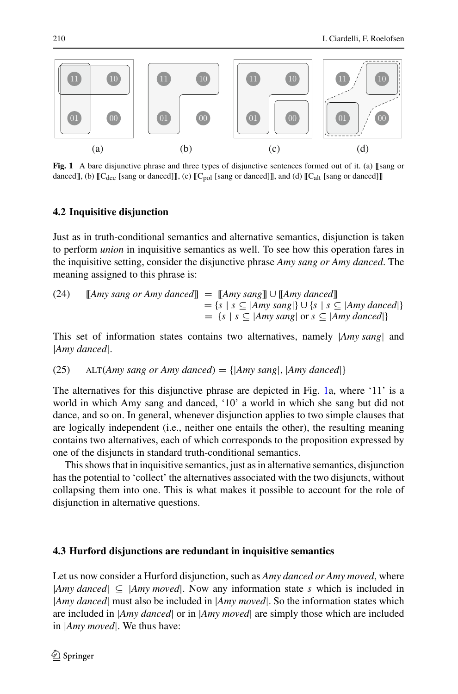

<span id="page-12-0"></span>**Fig. 1** A bare disjunctive phrase and three types of disjunctive sentences formed out of it. (a) [[sang or danced]], (b)  $\llbracket \text{C}_{\text{dec}} \rrbracket$  [sang or danced]]], (c)  $\llbracket \text{C}_{\text{pol}} \rrbracket$  [sang or danced]]], and (d)  $\llbracket \text{C}_{\text{alt}} \rrbracket$  [sang or danced]]]

#### **4.2 Inquisitive disjunction**

Just as in truth-conditional semantics and alternative semantics, disjunction is taken to perform *union* in inquisitive semantics as well. To see how this operation fares in the inquisitive setting, consider the disjunctive phrase *Amy sang or Amy danced*. The meaning assigned to this phrase is:

(24) 
$$
\llbracket \text{A} \text{my sang or Amy danced} \rrbracket = \llbracket \text{A} \text{my sang} \rrbracket \cup \llbracket \text{A} \text{my danced} \rrbracket
$$

$$
= \{s \mid s \subseteq |\text{A} \text{my sang}| \} \cup \{s \mid s \subseteq |\text{A} \text{my danced}| \}
$$

$$
= \{s \mid s \subseteq |\text{A} \text{my sang}| \text{ or } s \subseteq |\text{A} \text{my danced}| \}
$$

This set of information states contains two alternatives, namely |*Amy sang*| and |*Amy danced*|.

(25) 
$$
ALT(Amy \, sang \, or \, Amy \, danced) = \{ | Amy \, sang |, | Amy \, danced | \}
$$

The alternatives for this disjunctive phrase are depicted in Fig. [1a](#page-12-0), where '11' is a world in which Amy sang and danced, '10' a world in which she sang but did not dance, and so on. In general, whenever disjunction applies to two simple clauses that are logically independent (i.e., neither one entails the other), the resulting meaning contains two alternatives, each of which corresponds to the proposition expressed by one of the disjuncts in standard truth-conditional semantics.

This shows that in inquisitive semantics, just as in alternative semantics, disjunction has the potential to 'collect' the alternatives associated with the two disjuncts, without collapsing them into one. This is what makes it possible to account for the role of disjunction in alternative questions.

#### **4.3 Hurford disjunctions are redundant in inquisitive semantics**

Let us now consider a Hurford disjunction, such as *Amy danced or Amy moved*, where |*Amy danced*|⊆|*Amy moved*|. Now any information state *s* which is included in |*Amy danced*| must also be included in |*Amy moved*|. So the information states which are included in |*Amy danced*| or in |*Amy moved*| are simply those which are included in |*Amy moved*|. We thus have: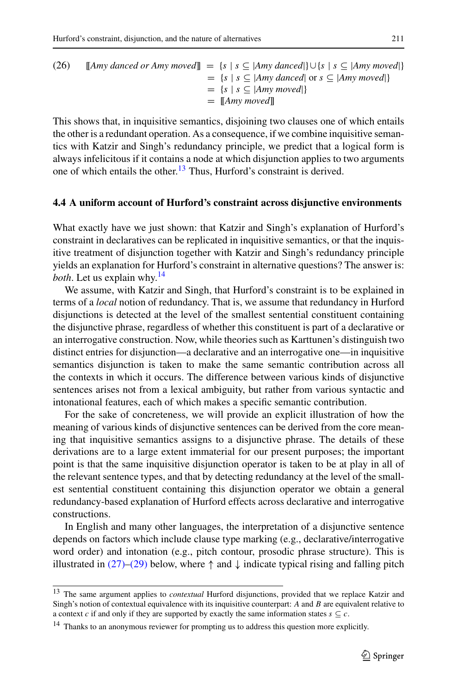| (26) |  | $\llbracket \text{Amy} \text{ danced or Amy moved} \rrbracket = \{s \mid s \subseteq   \text{Amy} \text{ danced} \} \cup \{s \mid s \subseteq   \text{Amy moved} \}$ |
|------|--|----------------------------------------------------------------------------------------------------------------------------------------------------------------------|
|      |  | $= \{s \mid s \subseteq  Amy \text{ denced}  \text{ or } s \subseteq  Amy \text{ moved}  \}$                                                                         |
|      |  | $= \{s \mid s \subseteq  Amy \text{ moved} \}$                                                                                                                       |
|      |  | $=$ $\Vert Amv \, moved \Vert$                                                                                                                                       |
|      |  |                                                                                                                                                                      |

This shows that, in inquisitive semantics, disjoining two clauses one of which entails the other is a redundant operation. As a consequence, if we combine inquisitive semantics with Katzir and Singh's redundancy principle, we predict that a logical form is always infelicitous if it contains a node at which disjunction applies to two arguments one of which entails the other.<sup>[13](#page-13-0)</sup> Thus, Hurford's constraint is derived.

#### **4.4 A uniform account of Hurford's constraint across disjunctive environments**

What exactly have we just shown: that Katzir and Singh's explanation of Hurford's constraint in declaratives can be replicated in inquisitive semantics, or that the inquisitive treatment of disjunction together with Katzir and Singh's redundancy principle yields an explanation for Hurford's constraint in alternative questions? The answer is: *both*. Let us explain why.<sup>[14](#page-13-1)</sup>

We assume, with Katzir and Singh, that Hurford's constraint is to be explained in terms of a *local* notion of redundancy. That is, we assume that redundancy in Hurford disjunctions is detected at the level of the smallest sentential constituent containing the disjunctive phrase, regardless of whether this constituent is part of a declarative or an interrogative construction. Now, while theories such as Karttunen's distinguish two distinct entries for disjunction—a declarative and an interrogative one—in inquisitive semantics disjunction is taken to make the same semantic contribution across all the contexts in which it occurs. The difference between various kinds of disjunctive sentences arises not from a lexical ambiguity, but rather from various syntactic and intonational features, each of which makes a specific semantic contribution.

For the sake of concreteness, we will provide an explicit illustration of how the meaning of various kinds of disjunctive sentences can be derived from the core meaning that inquisitive semantics assigns to a disjunctive phrase. The details of these derivations are to a large extent immaterial for our present purposes; the important point is that the same inquisitive disjunction operator is taken to be at play in all of the relevant sentence types, and that by detecting redundancy at the level of the smallest sentential constituent containing this disjunction operator we obtain a general redundancy-based explanation of Hurford effects across declarative and interrogative constructions.

In English and many other languages, the interpretation of a disjunctive sentence depends on factors which include clause type marking (e.g., declarative/interrogative word order) and intonation (e.g., pitch contour, prosodic phrase structure). This is illustrated in  $(27)$ – $(29)$  below, where  $\uparrow$  and  $\downarrow$  indicate typical rising and falling pitch

<sup>2</sup> Springer

<span id="page-13-0"></span><sup>13</sup> The same argument applies to *contextual* Hurford disjunctions, provided that we replace Katzir and Singh's notion of contextual equivalence with its inquisitive counterpart: *A* and *B* are equivalent relative to a context *c* if and only if they are supported by exactly the same information states  $s \subseteq c$ .

<span id="page-13-1"></span><sup>&</sup>lt;sup>14</sup> Thanks to an anonymous reviewer for prompting us to address this question more explicitly.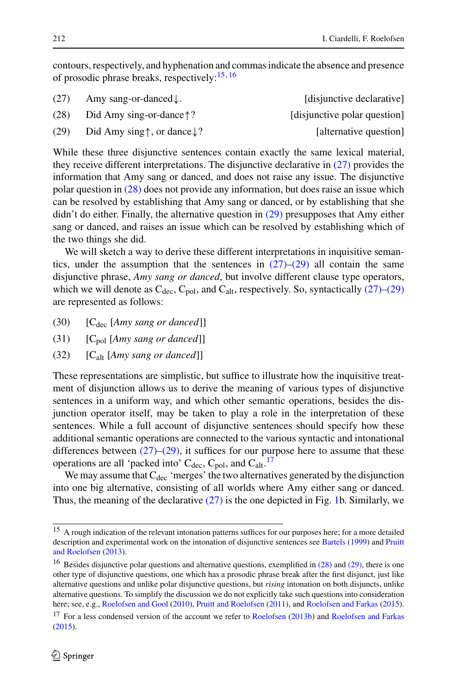<span id="page-14-0"></span>contours, respectively, and hyphenation and commas indicate the absence and presence of prosodic phrase breaks, respectively:  $15,16$  $15,16$  $15,16$ 

<span id="page-14-4"></span><span id="page-14-1"></span>

| (27) | Amy sang-or-danced $\downarrow$ .                 | [disjunctive declarative]    |
|------|---------------------------------------------------|------------------------------|
| (28) | Did Amy sing-or-dance $\uparrow$ ?                | [disjunctive polar question] |
| (29) | Did Amy sing $\uparrow$ , or dance $\downarrow$ ? | [alternative question]       |

While these three disjunctive sentences contain exactly the same lexical material, they receive different interpretations. The disjunctive declarative in  $(27)$  provides the information that Amy sang or danced, and does not raise any issue. The disjunctive polar question in [\(28\)](#page-14-4) does not provide any information, but does raise an issue which can be resolved by establishing that Amy sang or danced, or by establishing that she didn't do either. Finally, the alternative question in [\(29\)](#page-14-1) presupposes that Amy either sang or danced, and raises an issue which can be resolved by establishing which of the two things she did.

We will sketch a way to derive these different interpretations in inquisitive semantics, under the assumption that the sentences in  $(27)$ – $(29)$  all contain the same disjunctive phrase, *Amy sang or danced*, but involve different clause type operators, which we will denote as  $C_{\text{dec}}$ ,  $C_{\text{pol}}$ , and  $C_{\text{alt}}$ , respectively. So, syntactically [\(27\)](#page-14-0)[–\(29\)](#page-14-1) are represented as follows:

- (30) [C<sub>dec</sub> [Amy sang or danced]]
- (31) [Cpol [*Amy sang or danced*]]
- (32) [Calt [*Amy sang or danced*]]

These representations are simplistic, but suffice to illustrate how the inquisitive treatment of disjunction allows us to derive the meaning of various types of disjunctive sentences in a uniform way, and which other semantic operations, besides the disjunction operator itself, may be taken to play a role in the interpretation of these sentences. While a full account of disjunctive sentences should specify how these additional semantic operations are connected to the various syntactic and intonational differences between  $(27)$ – $(29)$ , it suffices for our purpose here to assume that these operations are all 'packed into'  $C_{\text{dec}}$ ,  $C_{\text{pol}}$ , and  $C_{\text{alt}}$ .<sup>[17](#page-14-5)</sup>

We may assume that  $C_{\text{dec}}$  'merges' the two alternatives generated by the disjunction into one big alternative, consisting of all worlds where Amy either sang or danced. Thus, the meaning of the declarative  $(27)$  is the one depicted in Fig. [1b](#page-12-0). Similarly, we

<span id="page-14-2"></span><sup>&</sup>lt;sup>15</sup> A rough indication of the relevant intonation patterns suffices for our purposes here; for a more detailed description an[d](#page-23-19) [experimental](#page-23-19) [work](#page-23-19) [on](#page-23-19) [the](#page-23-19) [intonation](#page-23-19) [of](#page-23-19) [disjunctive](#page-23-19) [sentences](#page-23-19) [see](#page-23-19) [Bartels](#page-23-18) [\(1999](#page-23-18)) and Pruitt and Roelofsen [\(2013](#page-23-19)).

<span id="page-14-3"></span><sup>&</sup>lt;sup>16</sup> Besides disjunctive polar questions and alternative questions, exemplified in [\(28\)](#page-14-4) and [\(29\),](#page-14-1) there is one other type of disjunctive questions, one which has a prosodic phrase break after the first disjunct, just like alternative questions and unlike polar disjunctive questions, but *rising* intonation on both disjuncts, unlike alternative questions. To simplify the discussion we do not explicitly take such questions into consideration here; see, e.g., [Roelofsen and Gool](#page-24-3) [\(2010\)](#page-24-3), [Pruitt and Roelofsen](#page-23-20) [\(2011](#page-23-20)), and [Roelofsen and Farkas](#page-24-5) [\(2015](#page-24-5)).

<span id="page-14-5"></span><sup>&</sup>lt;sup>17</sup> For a less condensed version of the account we refer to [Roelofsen](#page-24-6) [\(2013b\)](#page-24-6) and [Roelofsen and Farkas](#page-24-5) [\(2015](#page-24-5)).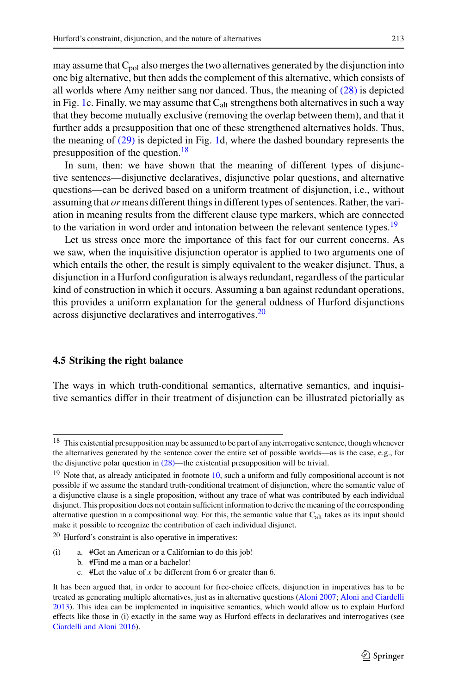may assume that  $C_{pol}$  also merges the two alternatives generated by the disjunction into one big alternative, but then adds the complement of this alternative, which consists of all worlds where Amy neither sang nor danced. Thus, the meaning of [\(28\)](#page-14-4) is depicted in Fig. [1c](#page-12-0). Finally, we may assume that  $C<sub>alt</sub>$  strengthens both alternatives in such a way that they become mutually exclusive (removing the overlap between them), and that it further adds a presupposition that one of these strengthened alternatives holds. Thus, the meaning of [\(29\)](#page-14-1) is depicted in Fig. [1d](#page-12-0), where the dashed boundary represents the presupposition of the question.<sup>18</sup>

In sum, then: we have shown that the meaning of different types of disjunctive sentences—disjunctive declaratives, disjunctive polar questions, and alternative questions—can be derived based on a uniform treatment of disjunction, i.e., without assuming that *or* means different things in different types of sentences. Rather, the variation in meaning results from the different clause type markers, which are connected to the variation in word order and intonation between the relevant sentence types.<sup>[19](#page-15-1)</sup>

Let us stress once more the importance of this fact for our current concerns. As we saw, when the inquisitive disjunction operator is applied to two arguments one of which entails the other, the result is simply equivalent to the weaker disjunct. Thus, a disjunction in a Hurford configuration is always redundant, regardless of the particular kind of construction in which it occurs. Assuming a ban against redundant operations, this provides a uniform explanation for the general oddness of Hurford disjunctions across disjunctive declaratives and interrogatives.<sup>20</sup>

#### **4.5 Striking the right balance**

The ways in which truth-conditional semantics, alternative semantics, and inquisitive semantics differ in their treatment of disjunction can be illustrated pictorially as

- <span id="page-15-2"></span>(i) a. #Get an American or a Californian to do this job!
	- b. #Find me a man or a bachelor!
	- c. #Let the value of *x* be different from 6 or greater than 6.

<span id="page-15-0"></span> $18$  This existential presupposition may be assumed to be part of any interrogative sentence, though whenever the alternatives generated by the sentence cover the entire set of possible worlds—as is the case, e.g., for the disjunctive polar question in [\(28\)—](#page-14-4)the existential presupposition will be trivial.

<span id="page-15-1"></span> $19$  Note that, as already anticipated in footnote  $10$ , such a uniform and fully compositional account is not possible if we assume the standard truth-conditional treatment of disjunction, where the semantic value of a disjunctive clause is a single proposition, without any trace of what was contributed by each individual disjunct. This proposition does not contain sufficient information to derive the meaning of the corresponding alternative question in a compositional way. For this, the semantic value that C<sub>alt</sub> takes as its input should make it possible to recognize the contribution of each individual disjunct.

<sup>20</sup> Hurford's constraint is also operative in imperatives:

It has been argued that, in order to account for free-choice effects, disjunction in imperatives has to be treated as generating multiple alternatives, just as in alternative questions [\(Aloni 2007;](#page-23-21) [Aloni and Ciardelli](#page-23-22) [2013\)](#page-23-22). This idea can be implemented in inquisitive semantics, which would allow us to explain Hurford effects like those in (i) exactly in the same way as Hurford effects in declaratives and interrogatives (see [Ciardelli and Aloni 2016](#page-23-23)).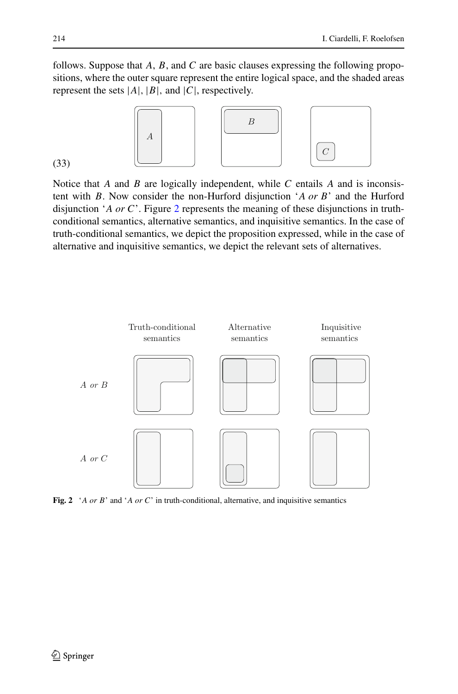follows. Suppose that *A*, *B*, and *C* are basic clauses expressing the following propositions, where the outer square represent the entire logical space, and the shaded areas represent the sets  $|A|, |B|$ , and  $|C|$ , respectively.



Notice that *A* and *B* are logically independent, while *C* entails *A* and is inconsistent with *B*. Now consider the non-Hurford disjunction '*A or B*' and the Hurford disjunction '*A or C*'. Figure [2](#page-16-0) represents the meaning of these disjunctions in truthconditional semantics, alternative semantics, and inquisitive semantics. In the case of truth-conditional semantics, we depict the proposition expressed, while in the case of alternative and inquisitive semantics, we depict the relevant sets of alternatives.



<span id="page-16-0"></span>**Fig. 2** '*A or B*' and '*A or C*' in truth-conditional, alternative, and inquisitive semantics

(33)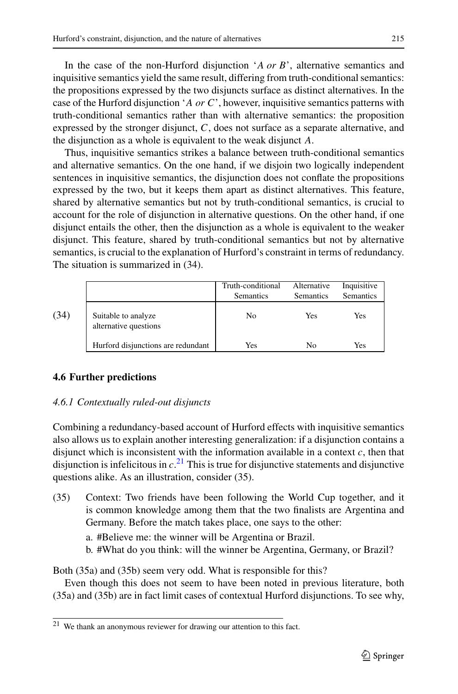In the case of the non-Hurford disjunction '*A or B*', alternative semantics and inquisitive semantics yield the same result, differing from truth-conditional semantics: the propositions expressed by the two disjuncts surface as distinct alternatives. In the case of the Hurford disjunction '*A or C*', however, inquisitive semantics patterns with truth-conditional semantics rather than with alternative semantics: the proposition expressed by the stronger disjunct, *C*, does not surface as a separate alternative, and the disjunction as a whole is equivalent to the weak disjunct *A*.

Thus, inquisitive semantics strikes a balance between truth-conditional semantics and alternative semantics. On the one hand, if we disjoin two logically independent sentences in inquisitive semantics, the disjunction does not conflate the propositions expressed by the two, but it keeps them apart as distinct alternatives. This feature, shared by alternative semantics but not by truth-conditional semantics, is crucial to account for the role of disjunction in alternative questions. On the other hand, if one disjunct entails the other, then the disjunction as a whole is equivalent to the weaker disjunct. This feature, shared by truth-conditional semantics but not by alternative semantics, is crucial to the explanation of Hurford's constraint in terms of redundancy. The situation is summarized in (34).

|      |                                              | Truth-conditional | Alternative | Inquisitive      |
|------|----------------------------------------------|-------------------|-------------|------------------|
|      |                                              | Semantics         | Semantics   | <b>Semantics</b> |
| (34) | Suitable to analyze<br>alternative questions | N <sub>0</sub>    | Yes         | Yes              |
|      | Hurford disjunctions are redundant           | Yes               | Nο          | Yes              |

## **4.6 Further predictions**

#### *4.6.1 Contextually ruled-out disjuncts*

Combining a redundancy-based account of Hurford effects with inquisitive semantics also allows us to explain another interesting generalization: if a disjunction contains a disjunct which is inconsistent with the information available in a context *c*, then that disjunction is infelicitous in *c*. [21](#page-17-0) This is true for disjunctive statements and disjunctive questions alike. As an illustration, consider (35).

- (35) Context: Two friends have been following the World Cup together, and it is common knowledge among them that the two finalists are Argentina and Germany. Before the match takes place, one says to the other:
	- a. #Believe me: the winner will be Argentina or Brazil.
	- b. #What do you think: will the winner be Argentina, Germany, or Brazil?

Both (35a) and (35b) seem very odd. What is responsible for this?

Even though this does not seem to have been noted in previous literature, both (35a) and (35b) are in fact limit cases of contextual Hurford disjunctions. To see why,

<span id="page-17-0"></span><sup>21</sup> We thank an anonymous reviewer for drawing our attention to this fact.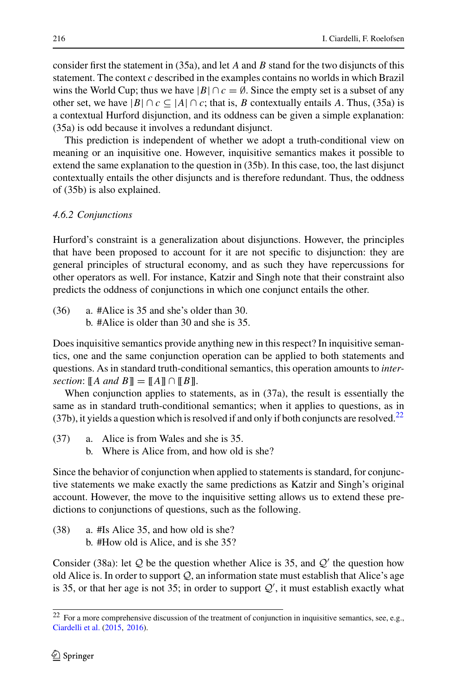consider first the statement in (35a), and let *A* and *B* stand for the two disjuncts of this statement. The context *c* described in the examples contains no worlds in which Brazil wins the World Cup; thus we have  $|B| \cap c = \emptyset$ . Since the empty set is a subset of any other set, we have  $|B| \cap c \subseteq |A| \cap c$ ; that is, *B* contextually entails *A*. Thus, (35a) is a contextual Hurford disjunction, and its oddness can be given a simple explanation: (35a) is odd because it involves a redundant disjunct.

This prediction is independent of whether we adopt a truth-conditional view on meaning or an inquisitive one. However, inquisitive semantics makes it possible to extend the same explanation to the question in (35b). In this case, too, the last disjunct contextually entails the other disjuncts and is therefore redundant. Thus, the oddness of (35b) is also explained.

#### *4.6.2 Conjunctions*

Hurford's constraint is a generalization about disjunctions. However, the principles that have been proposed to account for it are not specific to disjunction: they are general principles of structural economy, and as such they have repercussions for other operators as well. For instance, Katzir and Singh note that their constraint also predicts the oddness of conjunctions in which one conjunct entails the other.

<span id="page-18-1"></span>(36) a. #Alice is 35 and she's older than 30. b. #Alice is older than 30 and she is 35.

Does inquisitive semantics provide anything new in this respect? In inquisitive semantics, one and the same conjunction operation can be applied to both statements and questions. As in standard truth-conditional semantics, this operation amounts to *intersection*:  $\llbracket A \text{ and } B \rrbracket = \llbracket A \rrbracket \cap \llbracket B \rrbracket.$ 

When conjunction applies to statements, as in (37a), the result is essentially the same as in standard truth-conditional semantics; when it applies to questions, as in  $(37b)$ , it yields a question which is resolved if and only if both conjuncts are resolved.<sup>22</sup>

- (37) a. Alice is from Wales and she is 35.
	- b. Where is Alice from, and how old is she?

Since the behavior of conjunction when applied to statements is standard, for conjunctive statements we make exactly the same predictions as Katzir and Singh's original account. However, the move to the inquisitive setting allows us to extend these predictions to conjunctions of questions, such as the following.

<span id="page-18-2"></span>(38) a. #Is Alice 35, and how old is she? b. #How old is Alice, and is she 35?

Consider (38a): let *Q* be the question whether Alice is 35, and *Q* the question how old Alice is. In order to support *Q*, an information state must establish that Alice's age is 35, or that her age is not 35; in order to support  $Q'$ , it must establish exactly what

<span id="page-18-0"></span><sup>22</sup> For a more comprehensive discussion of the treatment of conjunction in inquisitive semantics, see, e.g., [Ciardelli et al.](#page-23-9) [\(2015,](#page-23-9) [2016\)](#page-23-24).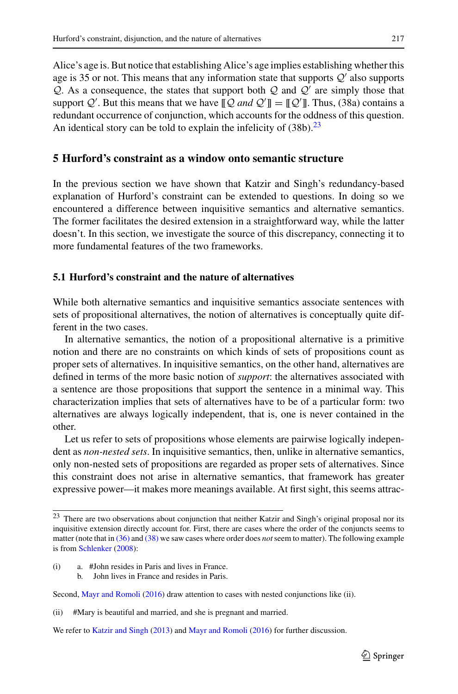Alice's age is. But notice that establishing Alice's age implies establishing whether this age is 35 or not. This means that any information state that supports  $Q'$  also supports *Q*. As a consequence, the states that support both *Q* and *Q* are simply those that support  $Q'$ . But this means that we have  $[\![Q \text{ and } Q']\!] = [\![Q']\!]$ . Thus, (38a) contains a redundant occurrence of conjunction, which accounts for the oddness of this question. An identical story can be told to explain the infelicity of  $(38b)$ .<sup>[23](#page-19-1)</sup>

## <span id="page-19-0"></span>**5 Hurford's constraint as a window onto semantic structure**

In the previous section we have shown that Katzir and Singh's redundancy-based explanation of Hurford's constraint can be extended to questions. In doing so we encountered a difference between inquisitive semantics and alternative semantics. The former facilitates the desired extension in a straightforward way, while the latter doesn't. In this section, we investigate the source of this discrepancy, connecting it to more fundamental features of the two frameworks.

#### **5.1 Hurford's constraint and the nature of alternatives**

While both alternative semantics and inquisitive semantics associate sentences with sets of propositional alternatives, the notion of alternatives is conceptually quite different in the two cases.

In alternative semantics, the notion of a propositional alternative is a primitive notion and there are no constraints on which kinds of sets of propositions count as proper sets of alternatives. In inquisitive semantics, on the other hand, alternatives are defined in terms of the more basic notion of *support*: the alternatives associated with a sentence are those propositions that support the sentence in a minimal way. This characterization implies that sets of alternatives have to be of a particular form: two alternatives are always logically independent, that is, one is never contained in the other.

Let us refer to sets of propositions whose elements are pairwise logically independent as *non-nested sets*. In inquisitive semantics, then, unlike in alternative semantics, only non-nested sets of propositions are regarded as proper sets of alternatives. Since this constraint does not arise in alternative semantics, that framework has greater expressive power—it makes more meanings available. At first sight, this seems attrac-

(i) a. #John resides in Paris and lives in France. b. John lives in France and resides in Paris.

<span id="page-19-1"></span><sup>&</sup>lt;sup>23</sup> There are two observations about conjunction that neither Katzir and Singh's original proposal nor its inquisitive extension directly account for. First, there are cases where the order of the conjuncts seems to matter (note that in [\(36\)](#page-18-1) and [\(38\)](#page-18-2) we saw cases where order does *not*seem to matter). The following example is from [Schlenker](#page-24-7) [\(2008\)](#page-24-7):

Second, [Mayr and Romoli](#page-23-25) [\(2016](#page-23-25)) draw attention to cases with nested conjunctions like (ii).

<sup>(</sup>ii) #Mary is beautiful and married, and she is pregnant and married.

We refer to [Katzir and Singh](#page-23-2) [\(2013\)](#page-23-2) and [Mayr and Romoli](#page-23-25) [\(2016](#page-23-25)) for further discussion.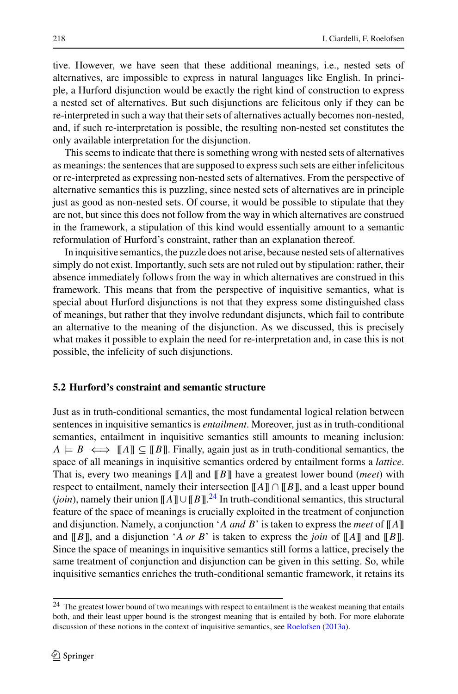tive. However, we have seen that these additional meanings, i.e., nested sets of alternatives, are impossible to express in natural languages like English. In principle, a Hurford disjunction would be exactly the right kind of construction to express a nested set of alternatives. But such disjunctions are felicitous only if they can be re-interpreted in such a way that their sets of alternatives actually becomes non-nested, and, if such re-interpretation is possible, the resulting non-nested set constitutes the only available interpretation for the disjunction.

This seems to indicate that there is something wrong with nested sets of alternatives as meanings: the sentences that are supposed to express such sets are either infelicitous or re-interpreted as expressing non-nested sets of alternatives. From the perspective of alternative semantics this is puzzling, since nested sets of alternatives are in principle just as good as non-nested sets. Of course, it would be possible to stipulate that they are not, but since this does not follow from the way in which alternatives are construed in the framework, a stipulation of this kind would essentially amount to a semantic reformulation of Hurford's constraint, rather than an explanation thereof.

In inquisitive semantics, the puzzle does not arise, because nested sets of alternatives simply do not exist. Importantly, such sets are not ruled out by stipulation: rather, their absence immediately follows from the way in which alternatives are construed in this framework. This means that from the perspective of inquisitive semantics, what is special about Hurford disjunctions is not that they express some distinguished class of meanings, but rather that they involve redundant disjuncts, which fail to contribute an alternative to the meaning of the disjunction. As we discussed, this is precisely what makes it possible to explain the need for re-interpretation and, in case this is not possible, the infelicity of such disjunctions.

#### **5.2 Hurford's constraint and semantic structure**

Just as in truth-conditional semantics, the most fundamental logical relation between sentences in inquisitive semantics is *entailment*. Moreover, just as in truth-conditional semantics, entailment in inquisitive semantics still amounts to meaning inclusion:  $A \models B \iff \llbracket A \rrbracket \subseteq \llbracket B \rrbracket$ . Finally, again just as in truth-conditional semantics, the space of all meanings in inquisitive semantics ordered by entailment forms a *lattice*. That is, every two meanings [[*A*]] and [[*B*]] have a greatest lower bound (*meet*) with respect to entailment, namely their intersection  $[[A]] \cap [[B]],$  and a least upper bound (*join*), namely their union  $[[A]] \cup [[B]]^{24}$  $[[A]] \cup [[B]]^{24}$  $[[A]] \cup [[B]]^{24}$  In truth-conditional semantics, this structural feature of the space of meanings is crucially exploited in the treatment of conjunction and disjunction. Namely, a conjunction '*A and B*' is taken to express the *meet* of [[*A*]] and [[*B*]], and a disjunction '*A or B*' is taken to express the *join* of [[*A*]] and [[*B*]]. Since the space of meanings in inquisitive semantics still forms a lattice, precisely the same treatment of conjunction and disjunction can be given in this setting. So, while inquisitive semantics enriches the truth-conditional semantic framework, it retains its

<span id="page-20-0"></span><sup>&</sup>lt;sup>24</sup> The greatest lower bound of two meanings with respect to entailment is the weakest meaning that entails both, and their least upper bound is the strongest meaning that is entailed by both. For more elaborate discussion of these notions in the context of inquisitive semantics, see [Roelofsen](#page-23-26) [\(2013a\)](#page-23-26).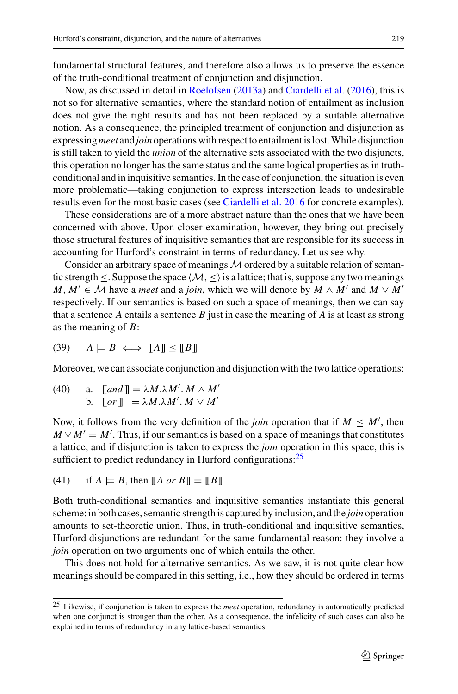fundamental structural features, and therefore also allows us to preserve the essence of the truth-conditional treatment of conjunction and disjunction.

Now, as discussed in detail in [Roelofsen](#page-23-26) [\(2013a\)](#page-23-26) and [Ciardelli et al.](#page-23-24) [\(2016](#page-23-24)), this is not so for alternative semantics, where the standard notion of entailment as inclusion does not give the right results and has not been replaced by a suitable alternative notion. As a consequence, the principled treatment of conjunction and disjunction as expressing*meet* and *join* operations with respect to entailment is lost.While disjunction is still taken to yield the *union* of the alternative sets associated with the two disjuncts, this operation no longer has the same status and the same logical properties as in truthconditional and in inquisitive semantics. In the case of conjunction, the situation is even more problematic—taking conjunction to express intersection leads to undesirable results even for the most basic cases (see [Ciardelli et al. 2016](#page-23-24) for concrete examples).

These considerations are of a more abstract nature than the ones that we have been concerned with above. Upon closer examination, however, they bring out precisely those structural features of inquisitive semantics that are responsible for its success in accounting for Hurford's constraint in terms of redundancy. Let us see why.

Consider an arbitrary space of meanings*M*ordered by a suitable relation of semantic strength  $\leq$ . Suppose the space  $\langle M, \leq \rangle$  is a lattice; that is, suppose any two meanings *M*,  $M' \in M$  have a *meet* and a *join*, which we will denote by  $M \wedge M'$  and  $M \vee M'$ respectively. If our semantics is based on such a space of meanings, then we can say that a sentence *A* entails a sentence *B* just in case the meaning of *A* is at least as strong as the meaning of *B*:

 $(A \models B \iff \llbracket A \rrbracket \leq \llbracket B \rrbracket)$ 

Moreover, we can associate conjunction and disjunction with the two lattice operations:

(40) a.  $\llbracket and \rrbracket = \lambda M \cdot \lambda M' \cdot M \wedge M'$ . b.  $[\![or]\!] = \lambda M \cdot \lambda M' \cdot M \vee M'$ 

Now, it follows from the very definition of the *join* operation that if  $M \leq M'$ , then  $M \vee M' = M'$ . Thus, if our semantics is based on a space of meanings that constitutes a lattice, and if disjunction is taken to express the *join* operation in this space, this is sufficient to predict redundancy in Hurford configurations: $25$ 

(41) if 
$$
A \models B
$$
, then  $[[A \text{ or } B]] = [[B]]$ 

Both truth-conditional semantics and inquisitive semantics instantiate this general scheme: in both cases, semantic strength is captured by inclusion, and the *join* operation amounts to set-theoretic union. Thus, in truth-conditional and inquisitive semantics, Hurford disjunctions are redundant for the same fundamental reason: they involve a *join* operation on two arguments one of which entails the other.

This does not hold for alternative semantics. As we saw, it is not quite clear how meanings should be compared in this setting, i.e., how they should be ordered in terms

<span id="page-21-0"></span><sup>25</sup> Likewise, if conjunction is taken to express the *meet* operation, redundancy is automatically predicted when one conjunct is stronger than the other. As a consequence, the infelicity of such cases can also be explained in terms of redundancy in any lattice-based semantics.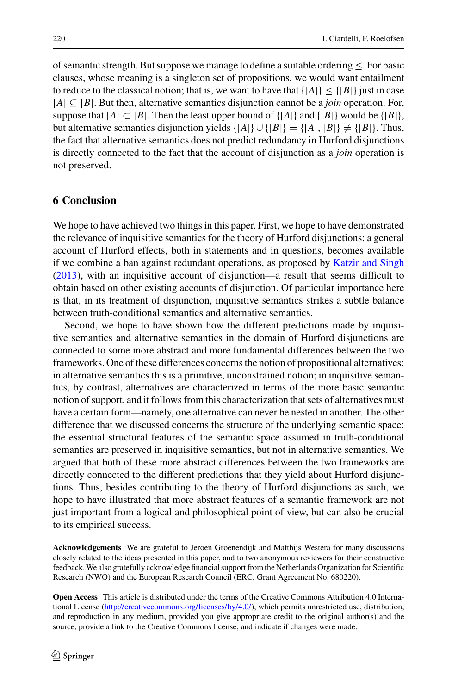of semantic strength. But suppose we manage to define a suitable ordering ≤. For basic clauses, whose meaning is a singleton set of propositions, we would want entailment to reduce to the classical notion; that is, we want to have that  $\{|A|\} \leq \{|B|\}$  just in case  $|A| \subseteq |B|$ . But then, alternative semantics disjunction cannot be a *join* operation. For, suppose that  $|A| \subset |B|$ . Then the least upper bound of  $\{|A|\}$  and  $\{|B|\}$  would be  $\{|B|\}$ , but alternative semantics disjunction yields  $\{|A|\} \cup \{|B|\} = \{|A|, |B|\} \neq \{|B|\}$ . Thus, the fact that alternative semantics does not predict redundancy in Hurford disjunctions is directly connected to the fact that the account of disjunction as a *join* operation is not preserved.

## <span id="page-22-0"></span>**6 Conclusion**

We hope to have achieved two things in this paper. First, we hope to have demonstrated the relevance of inquisitive semantics for the theory of Hurford disjunctions: a general account of Hurford effects, both in statements and in questions, becomes available if we combine a ban against redundant operations, as proposed by [Katzir and Singh](#page-23-2) [\(2013\)](#page-23-2), with an inquisitive account of disjunction—a result that seems difficult to obtain based on other existing accounts of disjunction. Of particular importance here is that, in its treatment of disjunction, inquisitive semantics strikes a subtle balance between truth-conditional semantics and alternative semantics.

Second, we hope to have shown how the different predictions made by inquisitive semantics and alternative semantics in the domain of Hurford disjunctions are connected to some more abstract and more fundamental differences between the two frameworks. One of these differences concerns the notion of propositional alternatives: in alternative semantics this is a primitive, unconstrained notion; in inquisitive semantics, by contrast, alternatives are characterized in terms of the more basic semantic notion of support, and it follows from this characterization that sets of alternatives must have a certain form—namely, one alternative can never be nested in another. The other difference that we discussed concerns the structure of the underlying semantic space: the essential structural features of the semantic space assumed in truth-conditional semantics are preserved in inquisitive semantics, but not in alternative semantics. We argued that both of these more abstract differences between the two frameworks are directly connected to the different predictions that they yield about Hurford disjunctions. Thus, besides contributing to the theory of Hurford disjunctions as such, we hope to have illustrated that more abstract features of a semantic framework are not just important from a logical and philosophical point of view, but can also be crucial to its empirical success.

**Acknowledgements** We are grateful to Jeroen Groenendijk and Matthijs Westera for many discussions closely related to the ideas presented in this paper, and to two anonymous reviewers for their constructive feedback.We also gratefully acknowledge financial support from the Netherlands Organization for Scientific Research (NWO) and the European Research Council (ERC, Grant Agreement No. 680220).

**Open Access** This article is distributed under the terms of the Creative Commons Attribution 4.0 International License [\(http://creativecommons.org/licenses/by/4.0/\)](http://creativecommons.org/licenses/by/4.0/), which permits unrestricted use, distribution, and reproduction in any medium, provided you give appropriate credit to the original author(s) and the source, provide a link to the Creative Commons license, and indicate if changes were made.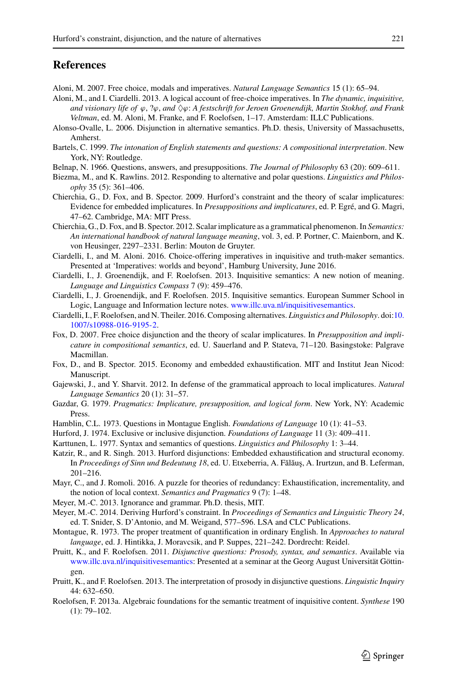#### **References**

- <span id="page-23-21"></span>Aloni, M. 2007. Free choice, modals and imperatives. *Natural Language Semantics* 15 (1): 65–94.
- <span id="page-23-22"></span>Aloni, M., and I. Ciardelli. 2013. A logical account of free-choice imperatives. In *The dynamic, inquisitive, and visionary life of* ϕ, ?ϕ, *and* ♦ϕ: *A festschrift for Jeroen Groenendijk, Martin Stokhof, and Frank Veltman*, ed. M. Aloni, M. Franke, and F. Roelofsen, 1–17. Amsterdam: ILLC Publications.
- <span id="page-23-14"></span>Alonso-Ovalle, L. 2006. Disjunction in alternative semantics. Ph.D. thesis, University of Massachusetts, Amherst.
- <span id="page-23-18"></span>Bartels, C. 1999. *The intonation of English statements and questions: A compositional interpretation*. New York, NY: Routledge.
- <span id="page-23-13"></span>Belnap, N. 1966. Questions, answers, and presuppositions. *The Journal of Philosophy* 63 (20): 609–611.
- <span id="page-23-15"></span>Biezma, M., and K. Rawlins. 2012. Responding to alternative and polar questions. *Linguistics and Philosophy* 35 (5): 361–406.
- <span id="page-23-5"></span>Chierchia, G., D. Fox, and B. Spector. 2009. Hurford's constraint and the theory of scalar implicatures: Evidence for embedded implicatures. In *Presuppositions and implicatures*, ed. P. Egré, and G. Magri, 47–62. Cambridge, MA: MIT Press.
- <span id="page-23-6"></span>Chierchia, G., D. Fox, and B. Spector. 2012. Scalar implicature as a grammatical phenomenon. In *Semantics: An international handbook of natural language meaning*, vol. 3, ed. P. Portner, C. Maienborn, and K. von Heusinger, 2297–2331. Berlin: Mouton de Gruyter.
- <span id="page-23-23"></span>Ciardelli, I., and M. Aloni. 2016. Choice-offering imperatives in inquisitive and truth-maker semantics. Presented at 'Imperatives: worlds and beyond', Hamburg University, June 2016.
- <span id="page-23-8"></span>Ciardelli, I., J. Groenendijk, and F. Roelofsen. 2013. Inquisitive semantics: A new notion of meaning. *Language and Linguistics Compass* 7 (9): 459–476.
- <span id="page-23-9"></span>Ciardelli, I., J. Groenendijk, and F. Roelofsen. 2015. Inquisitive semantics. European Summer School in Logic, Language and Information lecture notes. [www.illc.uva.nl/inquisitivesemantics.](www.illc.uva.nl/inquisitivesemantics)
- <span id="page-23-24"></span>Ciardelli, I., F. Roelofsen, and N. Theiler. 2016. Composing alternatives. *Linguistics and Philosophy*. doi[:10.](http://dx.doi.org/10.1007/s10988-016-9195-2) [1007/s10988-016-9195-2.](http://dx.doi.org/10.1007/s10988-016-9195-2)
- <span id="page-23-10"></span>Fox, D. 2007. Free choice disjunction and the theory of scalar implicatures. In *Presupposition and implicature in compositional semantics*, ed. U. Sauerland and P. Stateva, 71–120. Basingstoke: Palgrave Macmillan.
- <span id="page-23-11"></span>Fox, D., and B. Spector. 2015. Economy and embedded exhaustification. MIT and Institut Jean Nicod: Manuscript.
- <span id="page-23-12"></span>Gajewski, J., and Y. Sharvit. 2012. In defense of the grammatical approach to local implicatures. *Natural Language Semantics* 20 (1): 31–57.
- <span id="page-23-1"></span>Gazdar, G. 1979. *Pragmatics: Implicature, presupposition, and logical form*. New York, NY: Academic Press.
- <span id="page-23-7"></span>Hamblin, C.L. 1973. Questions in Montague English. *Foundations of Language* 10 (1): 41–53.
- <span id="page-23-0"></span>Hurford, J. 1974. Exclusive or inclusive disjunction. *Foundations of Language* 11 (3): 409–411.
- <span id="page-23-16"></span>Karttunen, L. 1977. Syntax and semantics of questions. *Linguistics and Philosophy* 1: 3–44.
- <span id="page-23-2"></span>Katzir, R., and R. Singh. 2013. Hurford disjunctions: Embedded exhaustification and structural economy. In Proceedings of Sinn und Bedeutung 18, ed. U. Etxeberria, A. Fălăuş, A. Irurtzun, and B. Leferman, 201–216.
- <span id="page-23-25"></span>Mayr, C., and J. Romoli. 2016. A puzzle for theories of redundancy: Exhaustification, incrementality, and the notion of local context. *Semantics and Pragmatics* 9 (7): 1–48.
- <span id="page-23-3"></span>Meyer, M.-C. 2013. Ignorance and grammar. Ph.D. thesis, MIT.
- <span id="page-23-4"></span>Meyer, M.-C. 2014. Deriving Hurford's constraint. In *Proceedings of Semantics and Linguistic Theory 24*, ed. T. Snider, S. D'Antonio, and M. Weigand, 577–596. LSA and CLC Publications.
- <span id="page-23-17"></span>Montague, R. 1973. The proper treatment of quantification in ordinary English. In *Approaches to natural language*, ed. J. Hintikka, J. Moravcsik, and P. Suppes, 221–242. Dordrecht: Reidel.
- <span id="page-23-20"></span>Pruitt, K., and F. Roelofsen. 2011. *Disjunctive questions: Prosody, syntax, and semantics*. Available via [www.illc.uva.nl/inquisitivesemantics:](www.illc.uva.nl/inquisitivesemantics) Presented at a seminar at the Georg August Universität Göttingen.
- <span id="page-23-19"></span>Pruitt, K., and F. Roelofsen. 2013. The interpretation of prosody in disjunctive questions. *Linguistic Inquiry* 44: 632–650.
- <span id="page-23-26"></span>Roelofsen, F. 2013a. Algebraic foundations for the semantic treatment of inquisitive content. *Synthese* 190 (1): 79–102.